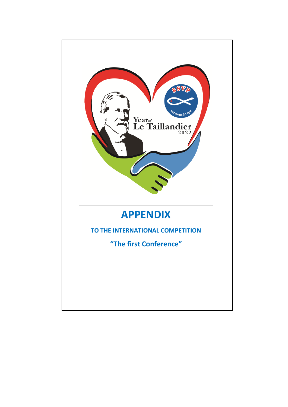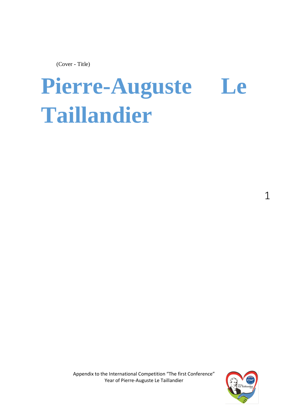(Cover - Title)

# **Pierre-Auguste Le Taillandier**

Appendix to the International Competition "The first Conference" Year of Pierre-Auguste Le Taillandier t ונּ<br>^

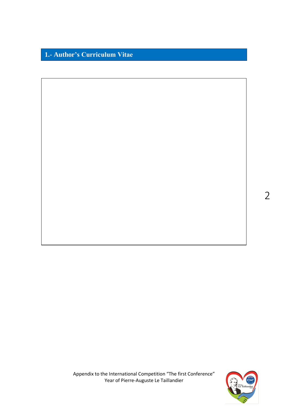**1.- Author's Curriculum Vitae**



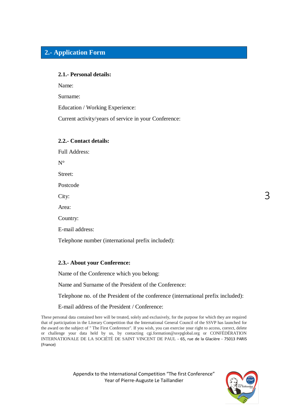# **2.- Application Form**

#### **2.1.- Personal details:**

Name:

Surname:

Education / Working Experience:

Current activity/years of service in your Conference:

#### **2.2.- Contact details:**

Full Address:

 $N^{\circ}$ 

Street:

Postcode

City:

Area:

Country:

E-mail address:

Telephone number (international prefix included):

#### **2.3.- About your Conference:**

Name of the Conference which you belong:

Name and Surname of the President of the Conference:

Telephone no. of the President of the conference (international prefix included):

E-mail address of the President / Conference:

These personal data contained here will be treated, solely and exclusively, for the purpose for which they are required that of participation in the Literary Competition that the International General Council of the SSVP has launched for the award on the subject of " The First Conference". If you wish, you can exercise your right to access, correct, delete or challenge your data held by us, by contacting cgi.formation@ssvpglobal.org or CONFÉDÉRATION INTERNATIONALE DE LA SOCIÉTÉ DE SAINT VINCENT DE PAUL - 65, rue de la Glacière - 75013 PARIS (France)

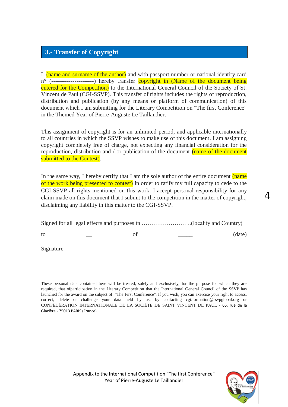# **3.- Transfer of Copyright**

I, (name and surname of the author) and with passport number or national identity card n<sup>o</sup> (-----------------------) hereby transfer copyright in (Name of the document being entered for the Competition) to the International General Council of the Society of St. Vincent de Paul (CGI-SSVP). This transfer of rights includes the rights of reproduction, distribution and publication (by any means or platform of communication) of this document which I am submitting for the Literary Competition on "The first Conference" in the Themed Year of Pierre-Auguste Le Taillandier.

This assignment of copyright is for an unlimited period, and applicable internationally to all countries in which the SSVP wishes to make use of this document. I am assigning copyright completely free of charge, not expecting any financial consideration for the reproduction, distribution and / or publication of the document (name of the document submitted to the Contest).

In the same way, I hereby certify that I am the sole author of the entire document (name of the work being presented to contest) in order to ratify my full capacity to cede to the CGI-SSVP all rights mentioned on this work. I accept personal responsibility for any claim made on this document that I submit to the competition in the matter of copyright, disclaiming any liability in this matter to the CGI-SSVP.

Signed for all legal effects and purposes in ……………………..(locality and Country)

to  $\qquad \qquad \qquad$  of  $\qquad \qquad$  (date)

Signature.

These personal data contained here will be treated, solely and exclusively, for the purpose for which they are required, that ofparticipation in the Literary Competition that the International General Council of the SSVP has launched for the award on the subject of "The First Conference". If you wish, you can exercise your right to access, correct, delete or challenge your data held by us, by contacting cgi.formation@ssvpglobal.org or CONFÉDÉRATION INTERNATIONALE DE LA SOCIÉTÉ DE SAINT VINCENT DE PAUL - 65, rue de la Glacière - 75013 PARIS (France)

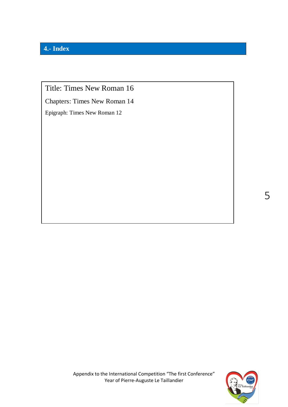# **4.- Index**

Title: Times New Roman 16

Chapters: Times New Roman 14

Epigraph: Times New Roman 12

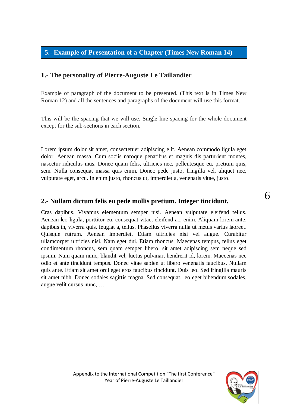## **1.- The personality of Pierre-Auguste Le Taillandier**

Example of paragraph of the document to be presented. (This text is in Times New Roman 12) and all the sentences and paragraphs of the document will use this format.

This will be the spacing that we will use. Single line spacing for the whole document except for the sub-sections in each section.

Lorem ipsum dolor sit amet, consectetuer adipiscing elit. Aenean commodo ligula eget dolor. Aenean massa. Cum sociis natoque penatibus et magnis dis parturient montes, nascetur ridiculus mus. Donec quam felis, ultricies nec, pellentesque eu, pretium quis, sem. Nulla consequat massa quis enim. Donec pede justo, fringilla vel, aliquet nec, vulputate eget, arcu. In enim justo, rhoncus ut, imperdiet a, venenatis vitae, justo.

### **2.- Nullam dictum felis eu pede mollis pretium. Integer tincidunt.**

Cras dapibus. Vivamus elementum semper nisi. Aenean vulputate eleifend tellus. Aenean leo ligula, porttitor eu, consequat vitae, eleifend ac, enim. Aliquam lorem ante, dapibus in, viverra quis, feugiat a, tellus. Phasellus viverra nulla ut metus varius laoreet. Quisque rutrum. Aenean imperdiet. Etiam ultricies nisi vel augue. Curabitur ullamcorper ultricies nisi. Nam eget dui. Etiam rhoncus. Maecenas tempus, tellus eget condimentum rhoncus, sem quam semper libero, sit amet adipiscing sem neque sed ipsum. Nam quam nunc, blandit vel, luctus pulvinar, hendrerit id, lorem. Maecenas nec odio et ante tincidunt tempus. Donec vitae sapien ut libero venenatis faucibus. Nullam quis ante. Etiam sit amet orci eget eros faucibus tincidunt. Duis leo. Sed fringilla mauris sit amet nibh. Donec sodales sagittis magna. Sed consequat, leo eget bibendum sodales, augue velit cursus nunc, …

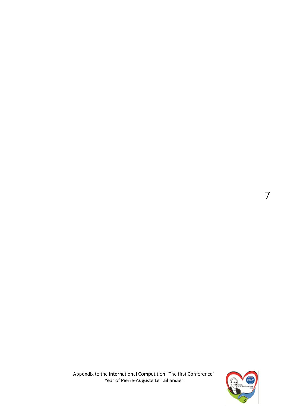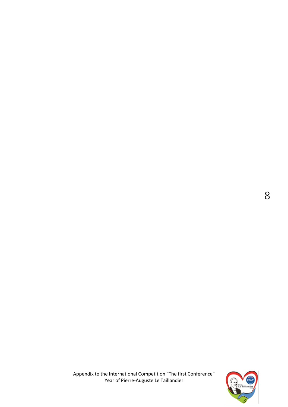

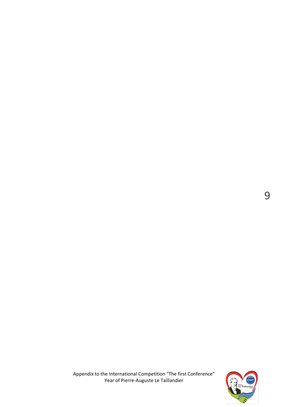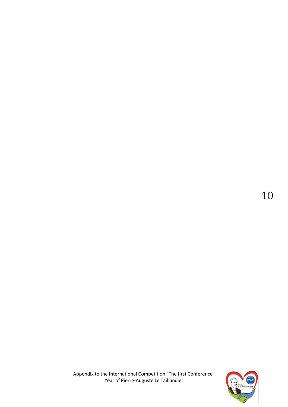

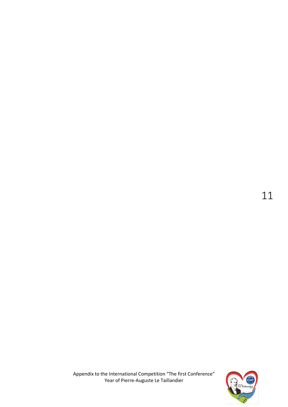

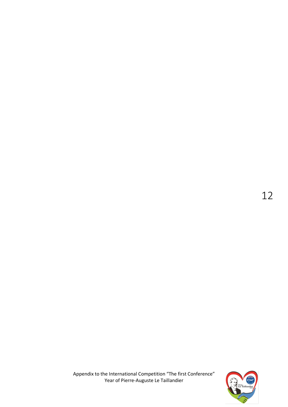

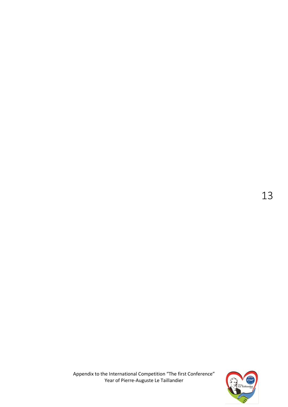

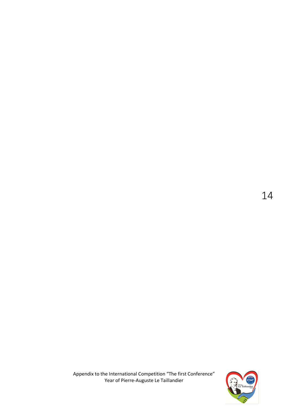

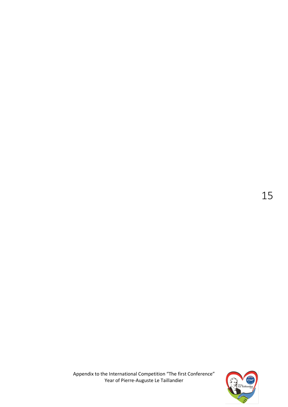

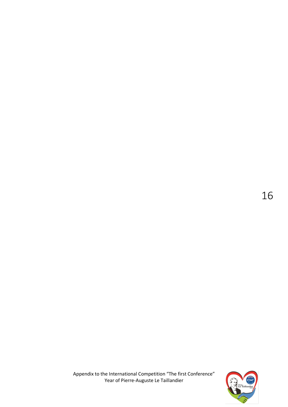

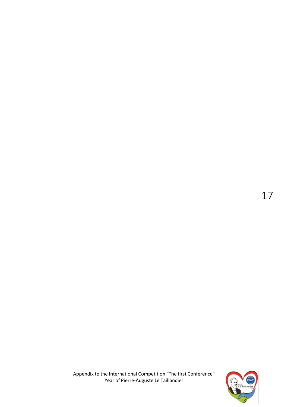

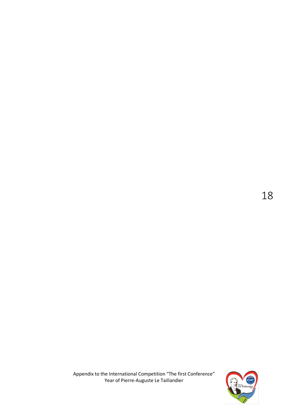

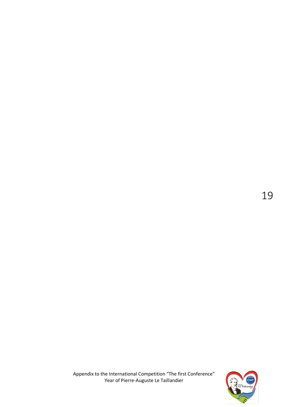